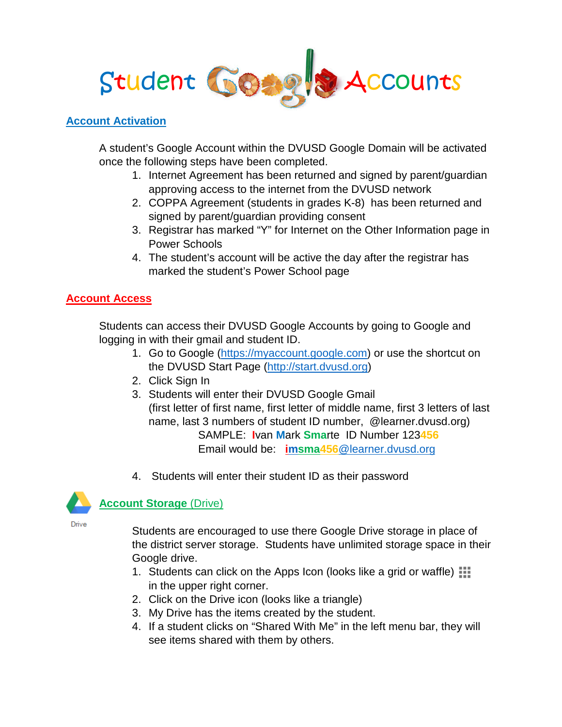

#### **Account Activation**

A student's Google Account within the DVUSD Google Domain will be activated once the following steps have been completed.

- 1. Internet Agreement has been returned and signed by parent/guardian approving access to the internet from the DVUSD network
- 2. COPPA Agreement (students in grades K-8) has been returned and signed by parent/guardian providing consent
- 3. Registrar has marked "Y" for Internet on the Other Information page in Power Schools
- 4. The student's account will be active the day after the registrar has marked the student's Power School page

## **Account Access**

Students can access their DVUSD Google Accounts by going to Google and logging in with their gmail and student ID.

- 1. Go to Google [\(https://myaccount.google.com\)](https://myaccount.google.com/) or use the shortcut on the DVUSD Start Page [\(http://start.dvusd.org\)](http://start.dvusd.org/)
- 2. Click Sign In
- 3. Students will enter their DVUSD Google Gmail (first letter of first name, first letter of middle name, first 3 letters of last name, last 3 numbers of student ID number, @learner.dvusd.org) SAMPLE: **I**van **M**ark **Sma**rte ID Number 123**456** Email would be: **imsma456**[@learner.dvusd.org](mailto:imsma456@learner.dvusd.org)
- 4. Students will enter their student ID as their password



**Account Storage** (Drive)

**Drive** 

Students are encouraged to use there Google Drive storage in place of the district server storage. Students have unlimited storage space in their Google drive.

- 1. Students can click on the Apps Icon (looks like a grid or waffle)  $\Box$ in the upper right corner.
- 2. Click on the Drive icon (looks like a triangle)
- 3. My Drive has the items created by the student.
- 4. If a student clicks on "Shared With Me" in the left menu bar, they will see items shared with them by others.